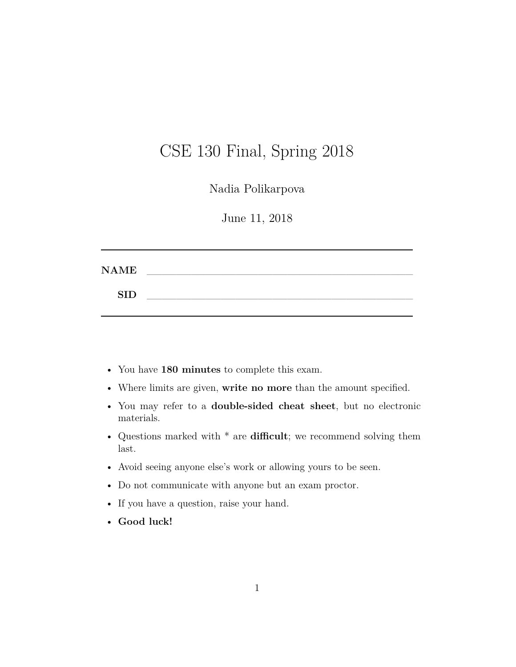# CSE 130 Final, Spring 2018

Nadia Polikarpova

June 11, 2018

| <b>NAME</b> |  |  |  |  |
|-------------|--|--|--|--|
| <b>SID</b>  |  |  |  |  |
|             |  |  |  |  |

- You have **180 minutes** to complete this exam.
- Where limits are given, **write no more** than the amount specified.
- You may refer to a **double-sided cheat sheet**, but no electronic materials.
- Questions marked with \* are **difficult**; we recommend solving them last.
- Avoid seeing anyone else's work or allowing yours to be seen.
- Do not communicate with anyone but an exam proctor.
- If you have a question, raise your hand.
- **Good luck!**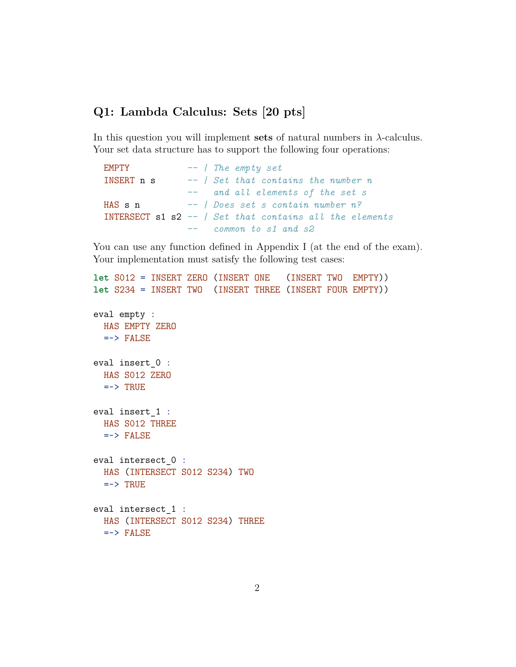# **Q1: Lambda Calculus: Sets [20 pts]**

In this question you will implement **sets** of natural numbers in *λ*-calculus. Your set data structure has to support the following four operations:

```
EMPTY -- | The empty set
INSERT n s -- | Set that contains the number n
              -- and all elements of the set s
HAS s n -- | Does set s contain number n?
INTERSECT s1 s2 -- | Set that contains all the elements
              -- common to s1 and s2
```
You can use any function defined in Appendix I (at the end of the exam). Your implementation must satisfy the following test cases:

```
let S012 = INSERT ZERO (INSERT ONE (INSERT TWO EMPTY))
let S234 = INSERT TWO (INSERT THREE (INSERT FOUR EMPTY))
eval empty :
  HAS EMPTY ZERO
  \Rightarrow FALSE
eval insert_0 :
  HAS S012 ZERO
  \Rightarrow TRUE
eval insert_1 :
  HAS S012 THREE
  \Rightarrow FALSE
eval intersect_0 :
  HAS (INTERSECT S012 S234) TWO
  \Rightarrow TRUE
eval intersect_1 :
  HAS (INTERSECT S012 S234) THREE
  \Rightarrow FALSE
```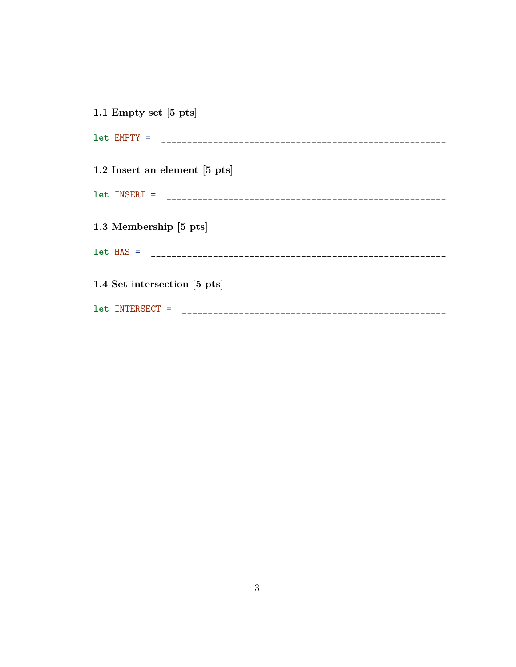| 1.1 Empty set $[5 \text{ pts}]$ |
|---------------------------------|
|                                 |
| 1.2 Insert an element [5 pts]   |
|                                 |
| 1.3 Membership [5 pts]          |
|                                 |
| 1.4 Set intersection [5 pts]    |
| let INTERSECT =                 |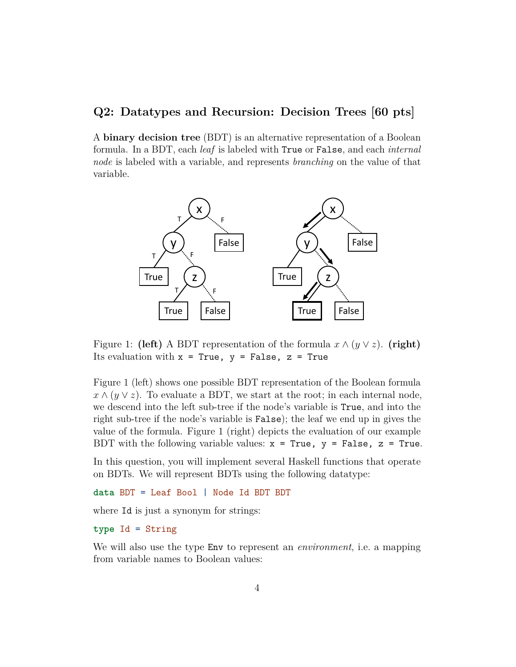#### **Q2: Datatypes and Recursion: Decision Trees [60 pts]**

A **binary decision tree** (BDT) is an alternative representation of a Boolean formula. In a BDT, each *leaf* is labeled with True or False, and each *internal node* is labeled with a variable, and represents *branching* on the value of that variable.



Figure 1: **(left)** A BDT representation of the formula  $x \wedge (y \vee z)$ . **(right)** Its evaluation with  $x = True$ ,  $y = False$ ,  $z = True$ 

Figure 1 (left) shows one possible BDT representation of the Boolean formula  $x \wedge (y \vee z)$ . To evaluate a BDT, we start at the root; in each internal node, we descend into the left sub-tree if the node's variable is True, and into the right sub-tree if the node's variable is False); the leaf we end up in gives the value of the formula. Figure 1 (right) depicts the evaluation of our example BDT with the following variable values:  $x = True$ ,  $y = False$ ,  $z = True$ .

In this question, you will implement several Haskell functions that operate on BDTs. We will represent BDTs using the following datatype:

**data** BDT = Leaf Bool | Node Id BDT BDT

where  $Id$  is just a synonym for strings:

#### **type** Id = String

We will also use the type Env to represent an *environment*, i.e. a mapping from variable names to Boolean values: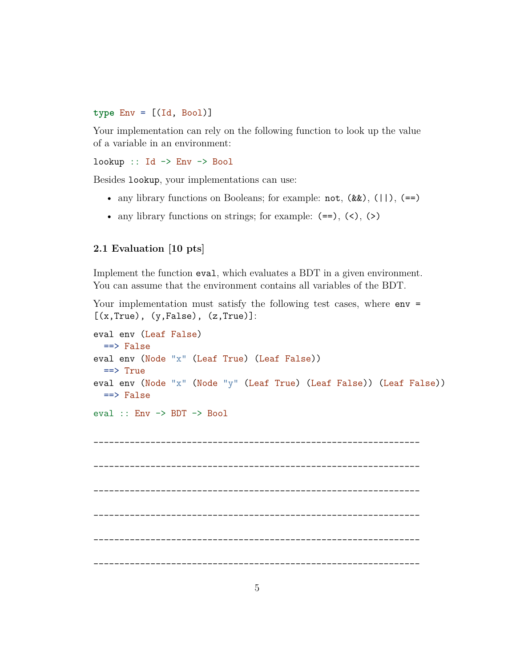**type** Env = [(Id, Bool)]

Your implementation can rely on the following function to look up the value of a variable in an environment:

 $lookup :: Id \rightarrow Env \rightarrow Bool$ 

Besides lookup, your implementations can use:

- any library functions on Booleans; for example:  $not, (\&\&), (\dagger), (=)$
- any library functions on strings; for example:  $(==)$ ,  $(>)$ ,  $(>)$

#### **2.1 Evaluation [10 pts]**

Implement the function eval, which evaluates a BDT in a given environment. You can assume that the environment contains all variables of the BDT.

Your implementation must satisfy the following test cases, where  $env =$ 

```
[(x, True), (y, False), (z, True)]:
eval env (Leaf False)
  ==> False
eval env (Node "x" (Leaf True) (Leaf False))
  ==> True
eval env (Node "x" (Node "y" (Leaf True) (Leaf False)) (Leaf False))
 ==> False
eval :: Env -> BDT -> Bool
_______________________________________________________________
_______________________________________________________________
_______________________________________________________________
    _______________________________________________________________
  _______________________________________________________________
_______________________________________________________________
```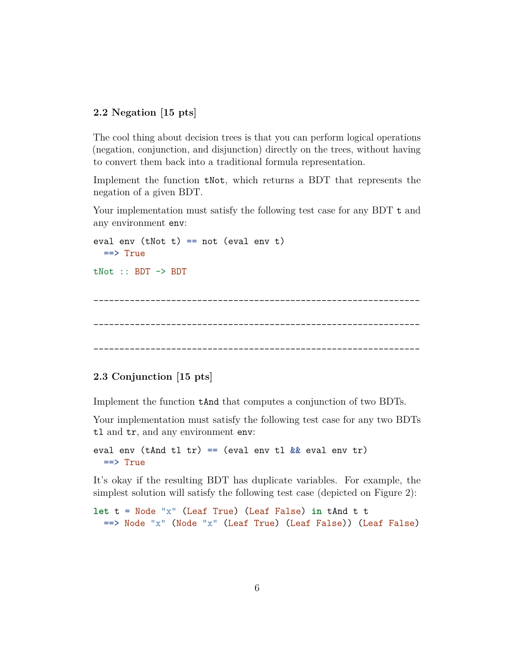#### **2.2 Negation [15 pts]**

The cool thing about decision trees is that you can perform logical operations (negation, conjunction, and disjunction) directly on the trees, without having to convert them back into a traditional formula representation.

Implement the function tNot, which returns a BDT that represents the negation of a given BDT.

Your implementation must satisfy the following test case for any BDT t and any environment env:

```
eval env (tNot t) == not (eval env t)
 ==> True
tNot :: BDT -> BDT
_______________________________________________________________
_______________________________________________________________
_______________________________________________________________
```
#### **2.3 Conjunction [15 pts]**

Implement the function tAnd that computes a conjunction of two BDTs.

Your implementation must satisfy the following test case for any two BDTs tl and tr, and any environment env:

eval env (tAnd tl tr) == (eval env tl  $\&$  eval env tr) ==> True

It's okay if the resulting BDT has duplicate variables. For example, the simplest solution will satisfy the following test case (depicted on Figure 2):

```
let t = Node "x" (Leaf True) (Leaf False) in tAnd t t
 ==> Node "x" (Node "x" (Leaf True) (Leaf False)) (Leaf False)
```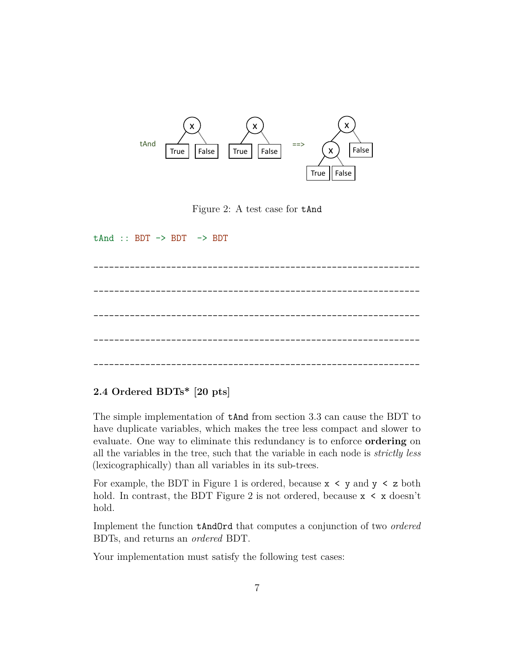

Figure 2: A test case for tAnd

 $tAnd :: BDT \rightarrow BDT \rightarrow BDT$ \_\_\_\_\_\_\_\_\_\_\_\_\_\_\_\_\_\_\_\_\_\_\_\_\_\_\_\_\_\_\_\_\_\_\_\_\_\_\_\_\_\_\_\_\_\_\_\_\_\_\_\_\_\_\_\_\_\_\_\_\_\_\_ \_\_\_\_\_\_\_\_\_\_\_\_\_\_\_\_\_\_\_\_\_\_\_\_\_\_\_\_\_\_\_\_\_\_\_\_\_\_\_\_\_\_\_\_\_\_\_\_\_\_\_\_\_\_\_\_\_\_\_\_\_\_\_ \_\_\_\_\_\_\_\_\_\_\_\_\_\_\_\_\_\_\_\_\_\_\_\_\_\_\_\_\_\_\_\_\_\_\_\_\_\_\_\_\_\_\_\_\_\_\_\_\_\_\_\_\_\_\_\_\_\_\_\_\_\_\_ \_\_\_\_\_\_\_\_\_\_\_\_\_\_\_\_\_\_\_\_\_\_\_\_\_\_\_\_\_\_\_\_\_\_\_\_\_\_\_\_\_\_\_\_\_\_\_\_\_\_\_\_\_\_\_\_\_\_\_\_\_\_\_ \_\_\_\_\_\_\_\_\_\_\_\_\_\_\_\_\_\_\_\_\_\_\_\_\_\_\_\_\_\_\_\_\_\_\_\_\_\_\_\_\_\_\_\_\_\_\_\_\_\_\_\_\_\_\_\_\_\_\_\_\_\_\_

#### **2.4 Ordered BDTs\* [20 pts]**

The simple implementation of tAnd from section 3.3 can cause the BDT to have duplicate variables, which makes the tree less compact and slower to evaluate. One way to eliminate this redundancy is to enforce **ordering** on all the variables in the tree, such that the variable in each node is *strictly less* (lexicographically) than all variables in its sub-trees.

For example, the BDT in Figure 1 is ordered, because  $x \leq y$  and  $y \leq z$  both hold. In contrast, the BDT Figure 2 is not ordered, because  $x < x$  doesn't hold.

Implement the function tAndOrd that computes a conjunction of two *ordered* BDTs, and returns an *ordered* BDT.

Your implementation must satisfy the following test cases: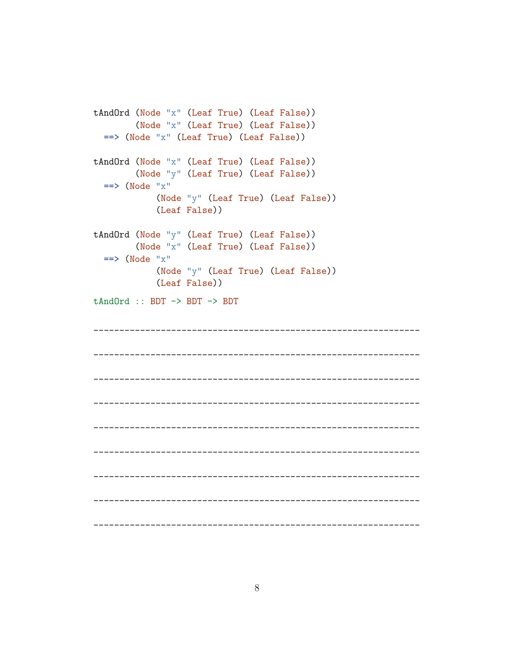```
tAndOrd (Node "x" (Leaf True) (Leaf False))
    (Node "x" (Leaf True) (Leaf False))
 \Rightarrow (Node "x" (Leaf True) (Leaf False))
tAndOrd (Node "x" (Leaf True) (Leaf False))
    (Node "y" (Leaf True) (Leaf False))
 \Rightarrow (Node "x")
      (Node "y" (Leaf True) (Leaf False))
      (Leaf False))
tAndOrd (Node "y" (Leaf True) (Leaf False))
    (Node "x" (Leaf True) (Leaf False))
 \Rightarrow (Node "x")
      (Node "y" (Leaf True) (Leaf False))
      (Leaf False))
tAndOrd :: BDT \rightarrow BDT \rightarrow BDT
```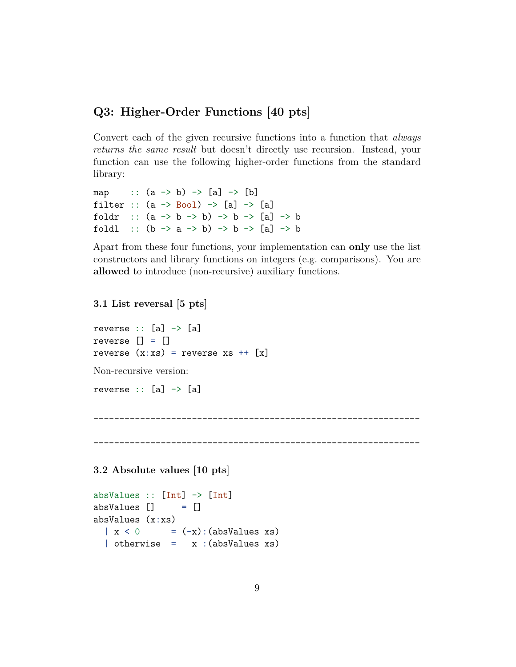# **Q3: Higher-Order Functions [40 pts]**

Convert each of the given recursive functions into a function that *always returns the same result* but doesn't directly use recursion. Instead, your function can use the following higher-order functions from the standard library:

```
map :: (a \rightarrow b) \rightarrow [a] \rightarrow [b]filter :: (a \rightarrow Bool) \rightarrow [a] \rightarrow [a]foldr :: (a \rightarrow b \rightarrow b) \rightarrow b \rightarrow [a] \rightarrow bfoldl :: (b \rightarrow a \rightarrow b) \rightarrow b \rightarrow [a] \rightarrow b
```
Apart from these four functions, your implementation can **only** use the list constructors and library functions on integers (e.g. comparisons). You are **allowed** to introduce (non-recursive) auxiliary functions.

#### **3.1 List reversal [5 pts]**

reverse  $:: [a] \rightarrow [a]$ reverse [] = [] reverse  $(x:xs)$  = reverse xs ++  $[x]$ 

Non-recursive version:

reverse  $:: [a] \rightarrow [a]$ 

```
_______________________________________________________________
```
**3.2 Absolute values [10 pts]**

```
absValues :: [Int] -> [Int]
absValues [] = []absValues (x:xs)
  \vert x \vert < 0 = (-x): (absValues xs)
  | otherwise = x : (absValues xs)
```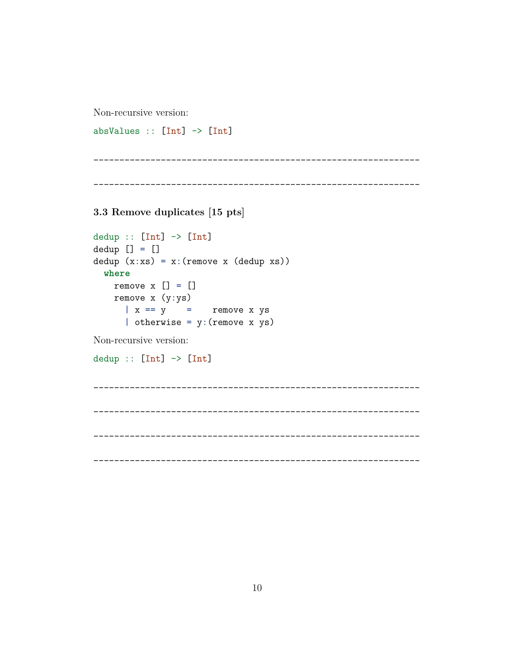Non-recursive version:

absValues ::  $[Int]$  ->  $[Int]$ 

3.3 Remove duplicates [15 pts]

```
dedup :: [Int] \rightarrow [Int]dedup [] = []dedup (x:xs) = x: (remove x (dedup xs))where
    remove x [] = []remove x (y:ys)\vert x \vert == y\alpha = 0.01remove x ys
       | otherwise = y: (remove x ys)
```
Non-recursive version:

 $dedup :: [Int] \rightarrow [Int]$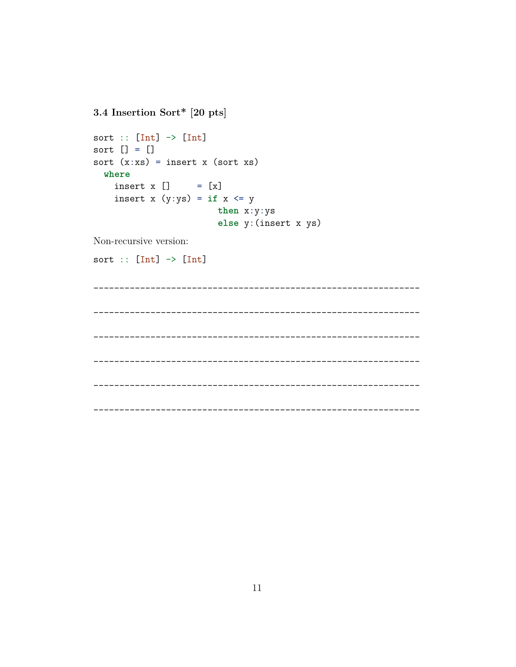3.4 Insertion Sort\* [20 pts] sort ::  $[Int]$  ->  $[Int]$ sort  $[] = []$ sort  $(x:xs) = insert x (sort xs)$ where insert  $x$  [] =  $[x]$ insert x  $(y:ys) = if x \le y$ then  $x:y:ys$ else y: (insert x ys)

Non-recursive version:

```
sort :: [Int] -> [Int]
```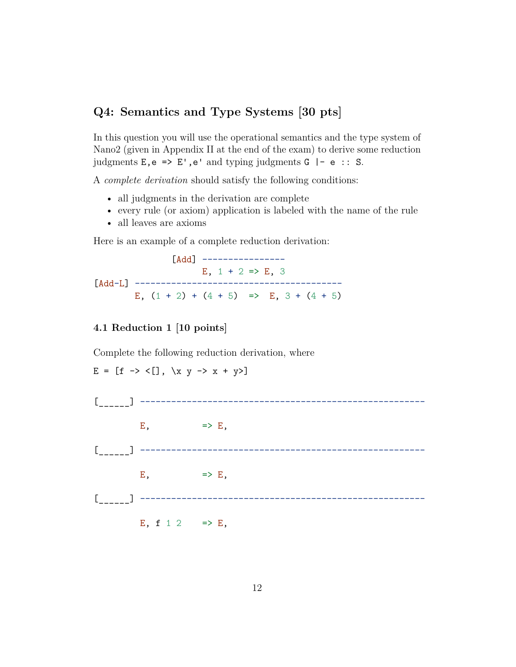# **Q4: Semantics and Type Systems [30 pts]**

In this question you will use the operational semantics and the type system of Nano2 (given in Appendix II at the end of the exam) to derive some reduction judgments  $E, e \implies E', e'$  and typing judgments  $G \mid -e$  :: S.

A *complete derivation* should satisfy the following conditions:

- all judgments in the derivation are complete
- every rule (or axiom) application is labeled with the name of the rule
- all leaves are axioms

Here is an example of a complete reduction derivation:

[Add] ----------------E,  $1 + 2 \Rightarrow E$ , 3 [Add-L] ---------------------------------------- E,  $(1 + 2) + (4 + 5)$  => E,  $3 + (4 + 5)$ 

#### **4.1 Reduction 1 [10 points]**

 $E = [f \rightarrow \langle [] , \ \rangle x \ y \rightarrow x + y \rangle]$ 

Complete the following reduction derivation, where

[\_\_\_\_\_\_] -------------------------------------------------------  $E,$   $\Rightarrow$   $E,$ [\_\_\_\_\_\_] -------------------------------------------------------  $E,$   $\Rightarrow$   $E,$ [\_\_\_\_\_\_] ------------------------------------------------------- E, f 1 2  $\implies$  E,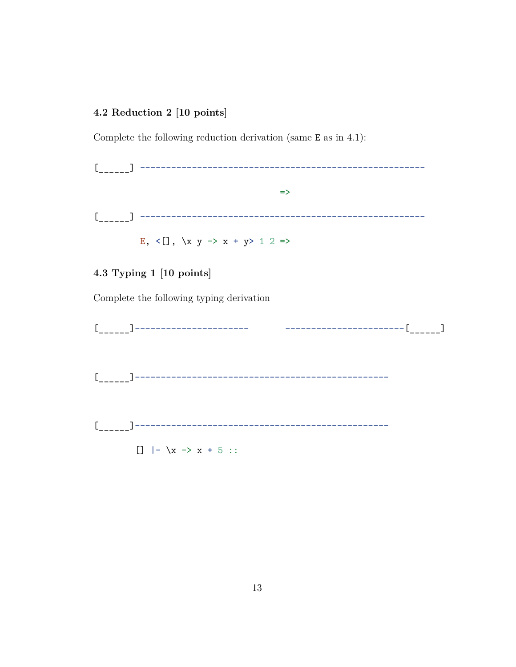# 4.2 Reduction 2 [10 points]

Complete the following reduction derivation (same  $E$  as in 4.1):

 $\Rightarrow$ 

E, <[], \x y -> x + y> 1 2 =>

### 4.3 Typing 1 [10 points]

Complete the following typing derivation

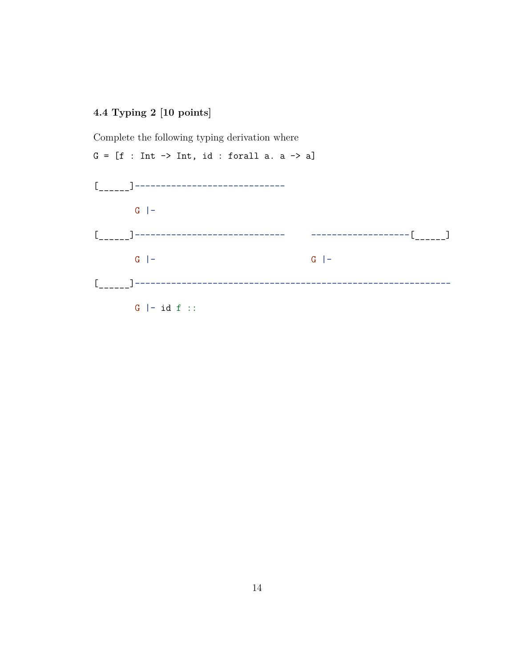## **4.4 Typing 2 [10 points]**

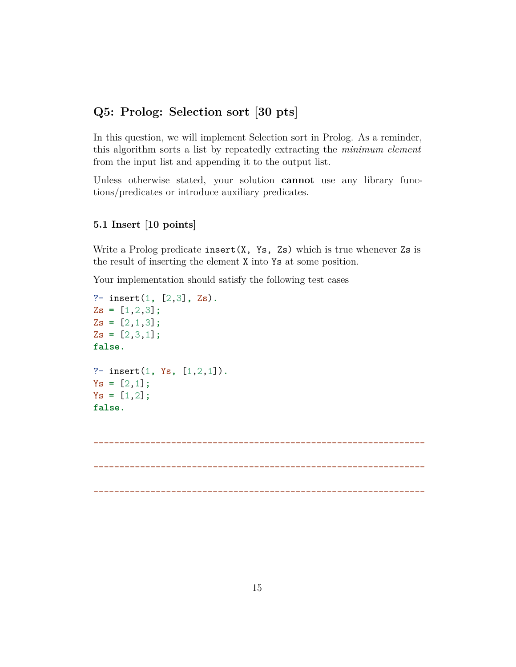# **Q5: Prolog: Selection sort [30 pts]**

In this question, we will implement Selection sort in Prolog. As a reminder, this algorithm sorts a list by repeatedly extracting the *minimum element* from the input list and appending it to the output list.

Unless otherwise stated, your solution **cannot** use any library functions/predicates or introduce auxiliary predicates.

#### **5.1 Insert [10 points]**

Write a Prolog predicate insert  $(X, Ys, Zs)$  which is true whenever  $Zs$  is the result of inserting the element X into Ys at some position.

Your implementation should satisfy the following test cases

```
?- insert(1, [2,3], Zs).
Zs = [1,2,3];
Zs = [2,1,3];
Zs = [2,3,1];
false.
?- insert(1, Ys, [1,2,1]).
Ys = [2,1];
Ys = [1,2];
false.
```
\_\_\_\_\_\_\_\_\_\_\_\_\_\_\_\_\_\_\_\_\_\_\_\_\_\_\_\_\_\_\_\_\_\_\_\_\_\_\_\_\_\_\_\_\_\_\_\_\_\_\_\_\_\_\_\_\_\_\_\_\_\_\_\_ \_\_\_\_\_\_\_\_\_\_\_\_\_\_\_\_\_\_\_\_\_\_\_\_\_\_\_\_\_\_\_\_\_\_\_\_\_\_\_\_\_\_\_\_\_\_\_\_\_\_\_\_\_\_\_\_\_\_\_\_\_\_\_\_ \_\_\_\_\_\_\_\_\_\_\_\_\_\_\_\_\_\_\_\_\_\_\_\_\_\_\_\_\_\_\_\_\_\_\_\_\_\_\_\_\_\_\_\_\_\_\_\_\_\_\_\_\_\_\_\_\_\_\_\_\_\_\_\_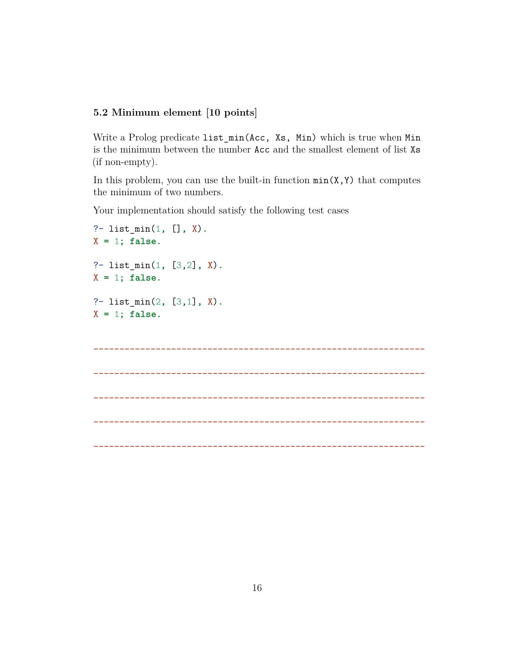## **5.2 Minimum element [10 points]**

Write a Prolog predicate list\_min(Acc, Xs, Min) which is true when Min is the minimum between the number Acc and the smallest element of list Xs (if non-empty).

In this problem, you can use the built-in function  $min(X, Y)$  that computes the minimum of two numbers.

Your implementation should satisfy the following test cases

```
?- list_min(1, [], X).
X = 1; false.
?- list_min(1, [3,2], X).
X = 1; false.
?- list_min(2, [3,1], X).
X = 1; false.
________________________________________________________________
________________________________________________________________
    ________________________________________________________________
```
\_\_\_\_\_\_\_\_\_\_\_\_\_\_\_\_\_\_\_\_\_\_\_\_\_\_\_\_\_\_\_\_\_\_\_\_\_\_\_\_\_\_\_\_\_\_\_\_\_\_\_\_\_\_\_\_\_\_\_\_\_\_\_\_

\_\_\_\_\_\_\_\_\_\_\_\_\_\_\_\_\_\_\_\_\_\_\_\_\_\_\_\_\_\_\_\_\_\_\_\_\_\_\_\_\_\_\_\_\_\_\_\_\_\_\_\_\_\_\_\_\_\_\_\_\_\_\_\_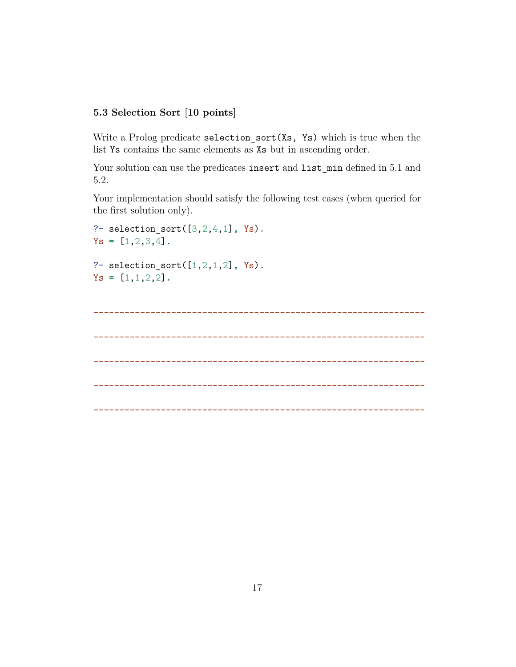### **5.3 Selection Sort [10 points]**

Write a Prolog predicate selection\_sort(Xs, Ys) which is true when the list Ys contains the same elements as Xs but in ascending order.

Your solution can use the predicates insert and list\_min defined in 5.1 and 5.2.

Your implementation should satisfy the following test cases (when queried for the first solution only).

```
?- selection_sort([3,2,4,1], Ys).
Ys = [1,2,3,4].
?- selection_sort([1,2,1,2], Ys).
Ys = [1,1,2,2].
    ________________________________________________________________
    ________________________________________________________________
________________________________________________________________
________________________________________________________________
________________________________________________________________
```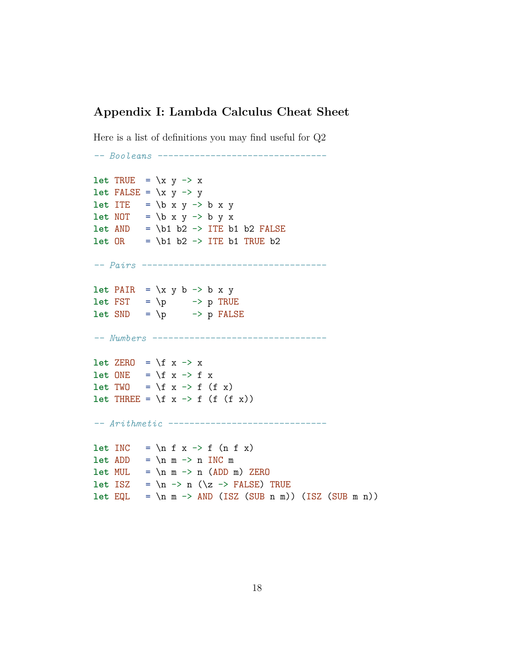# **Appendix I: Lambda Calculus Cheat Sheet**

Here is a list of definitions you may find useful for Q2

```
-- Booleans --------------------------------
let TRUE = \chi y -> x
let FALSE = \xrightarrow{} y -> y
let ITE = \b x y -> b x y
let NOT = \b x y \rightarrow b y xlet AND = \b1 b2 -> ITE b1 b2 FALSElet OR = \b1 b2 \rightarrow ITE b1 TRUE b2-- Pairs -----------------------------------
let PAIR = \x y b -> b x y
let FST = \pmb{\rightarrow} p \rightarrow p TRUElet SND = \n\begin{cases} \n\mathbf{p} & \rightarrow \mathbf{p} \n\end{cases} FALSE
-- Numbers ---------------------------------
let ZERO = \f x -> x
let 0NE = \{f \mid x \rightarrow f \mid xlet TWO = \{f x \rightarrow f (f x)let THREE = \forall f x -> f (f (f x))
-- Arithmetic ------------------------------
let INC = \n\begin{cases} \n\text{if } x \rightarrow f \text{ (}n \text{ if } x \text{)} \n\end{cases}let ADD = \n m \nightharpoonup n INC mlet MUL = \n\neq m \rightarrow n (ADD m) ZEROlet ISZ = \n -> n (\z -> FALSE) TRUE
let EQL = \n\mid m \rightarrow AND (ISZ (SUB n m)) (ISZ (SUB m n))
```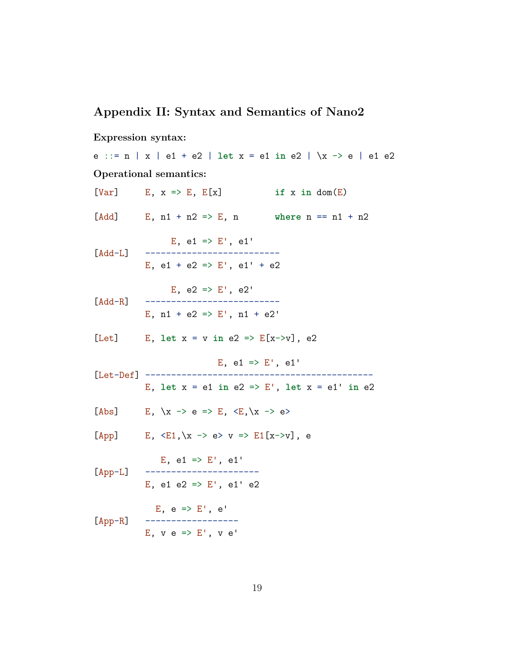# **Appendix II: Syntax and Semantics of Nano2**

#### **Expression syntax:**

```
e ::= n | x | e1 + e2 | let x = e1 in e2 | \x -> e | e1 e2
Operational semantics:
[Var] E, x \Rightarrow E, E[x] if x in dom(E)
[Add] E, n1 + n2 \Rightarrow E, n where n == n1 + n2E, e1 \implies E', e1'[Add-L]E, e1 + e2 \implies E', e1' + e2E, e2 \implies E', e2'[Add-R] --------------------------
            E, n1 + e2 \implies E', n1 + e2'[Let] E, let x = v in e2 => E[x->v], e2
                             E, e1 => E', e1'
[Let-Def] --------------------------------------------
            E, let x = e1 in e2 => E', let x = e1' in e2
[Abs] E, \{x \rightarrow e \Rightarrow E, \langle E, \langle x \rightarrow e \rangle\}[App] E, \langle E1, \chi \rangle \rightarrow e \rangle \quad v \Rightarrow E1[x \rightarrow v], eE, e1 \implies E', e1'[App-L] ----------------------
            E, e1 e2 => E', e1' e2
             E, e \Rightarrow E', e'[App-R] ------------------
            E, v e \Rightarrow E', v e'
```